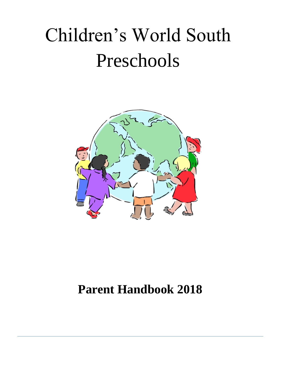# Children's World South Preschools



# **Parent Handbook 2018**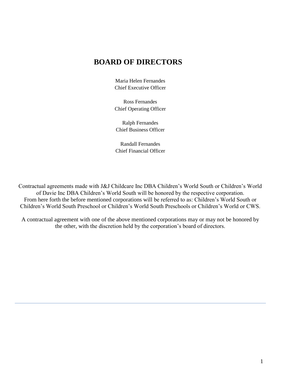### **BOARD OF DIRECTORS**

Maria Helen Fernandes Chief Executive Officer

Ross Fernandes Chief Operating Officer

Ralph Fernandes Chief Business Officer

Randall Fernandes Chief Financial Officer

Contractual agreements made with J&J Childcare Inc DBA Children's World South or Children's World of Davie Inc DBA Children's World South will be honored by the respective corporation. From here forth the before mentioned corporations will be referred to as: Children's World South or Children's World South Preschool or Children's World South Preschools or Children's World or CWS.

A contractual agreement with one of the above mentioned corporations may or may not be honored by the other, with the discretion held by the corporation's board of directors.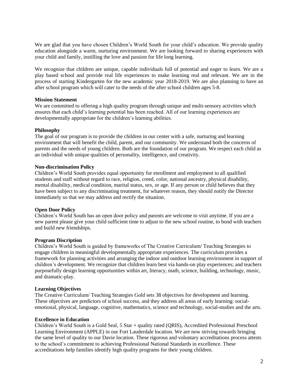We are glad that you have chosen Children's World South for your child's education. We provide quality education alongside a warm, nurturing environment. We are looking forward to sharing experiences with your child and family, instilling the love and passion for life long learning.

We recognize that children are unique, capable individuals full of potential and eager to learn. We are a play based school and provide real life experiences to make learning real and relevant. We are in the process of starting Kindergarten for the new academic year 2018-2019. We are also planning to have an after school program which will cater to the needs of the after school children ages 5-8.

#### **Mission Statement**

We are committed to offering a high quality program through unique and multi-sensory activities which ensures that each child's learning potential has been reached. All of our learning experiences are developmentally appropriate for the children's learning abilities.

#### **Philosophy**

The goal of our program is to provide the children in our center with a safe, nurturing and learning environment that will benefit the child, parent, and our community. We understand both the concerns of parents and the needs of young children. Both are the foundation of our program. We respect each child as an individual with unique qualities of personality, intelligence, and creativity.

#### **Non-discrimination Policy**

Children's World South provides equal opportunity for enrollment and employment to all qualified students and staff without regard to race, religion, creed, color, national ancestry, physical disability, mental disability, medical condition, marital status, sex, or age. If any person or child believes that they have been subject to any discriminating treatment, for whatever reason, they should notify the Director immediately so that we may address and rectify the situation.

#### **Open Door Policy**

Children's World South has an open door policy and parents are welcome to visit anytime. If you are a new parent please give your child sufficient time to adjust to the new school routine, to bond with teachers and build new friendships.

#### **Program Discription**

Children's World South is guided by frameworks of The Creative Curriculum/ Teaching Strategies to engage children in meaningful developmentally appropriate experiences. The curriculum provides a framework for planning activities and arranging the indoor and outdoor learning environment in support of children's development. We recognize that children learn best via hands-on play experiences; and teachers purposefully design learning opportunities within art, literacy, math, science, building, technology, music, and dramatic-play.

#### **Learning Objectives**

The Creative Curriculum/ Teaching Strategies Gold sets 38 objectives for development and learning. These objectives are predictors of school success, and they address all areas of early learning: socialemotional, physical, language, cognitive, mathematics, science and technology, social-studies and the arts.

#### **Excellence in Education**

Children's World South is a Gold Seal, 5 Star + quality rated (QRIS), Accredited Professional Preschool Learning Environment (APPLE) in our Fort Lauderdale location. We are now striving towards bringing the same level of quality to our Davie location. These rigorous and voluntary accreditations process attests to the school's commitment to achieving Professional National Standards in excellence. These accreditations help families identify high quality programs for their young children.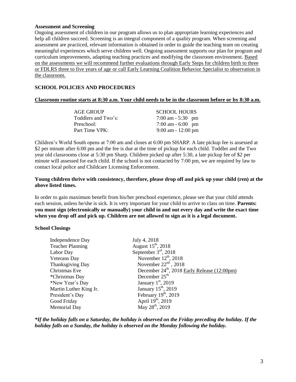#### **Assessment and Screening**

Ongoing assessment of children in our program allows us to plan appropriate learning experiences and help all children succeed. Screening is an integral component of a quality program. When screening and assessment are practiced, relevant information is obtained in order to guide the teaching team on creating meaningful experiences which serve children well. Ongoing assessment supports our plan for program and curriculum improvements, adapting teaching practices and modifying the classroom environment. Based on the assessments we will recommend further evaluations through Early Steps for children birth to three or FDLRS three to five years of age or call Early Learning Coalition Behavior Specialist to observation in the classroom.

#### **SCHOOL POLICIES AND PROCEDURES**

#### **Classroom routine starts at 8:30 a.m. Your child needs to be in the classroom before or by 8:30 a.m.**

| AGE GROUP           | <b>SCHOOL HOURS</b>   |
|---------------------|-----------------------|
| Toddlers and Two's: | 7:00 am $-5:30$ pm    |
| Preschool:          | 7:00 am - 6:00 pm     |
| Part Time VPK:      | $9:00$ am $-12:00$ pm |

Children's World South opens at 7:00 am and closes at 6:00 pm SHARP. A late pickup fee is assessed at \$2 per minute after 6:00 pm and the fee is due at the time of pickup for each child. Toddler and the Two year old classrooms close at 5:30 pm Sharp. Children picked up after 5:30, a late pickup fee of \$2 per minute will assessed for each child. If the school is not contacted by 7:00 pm, we are required by law to contact local police and Childcare Licensing Enforcement.

#### **Young children thrive with consistency, therefore, please drop off and pick up your child (ren) at the above listed times.**

In order to gain maximum benefit from his/her preschool experience, please see that your child attends each session, unless he/she is sick. It is very important for your child to arrive to class on time. **Parents: you must sign (electronically or manually) your child in and out every day and write the exact time when you drop off and pick up. Children are not allowed to sign as it is a legal document.**

#### **School Closings**

| July 4, 2018                                             |
|----------------------------------------------------------|
| August $15th$ , 2018                                     |
| September $3rd$ , 2018                                   |
| November $12th$ , 2018                                   |
| November $22nd$ , 2018                                   |
| December 24 <sup>th</sup> , 2018 Early Release (12:00pm) |
| December $25th$                                          |
| January $1st$ , 2019                                     |
| January $15th$ , 2019                                    |
| February $19th$ , 2019                                   |
| April $19^{th}$ , 2019                                   |
| May $28^{\text{th}}$ , 2019                              |
|                                                          |

*\*If the holiday falls on a Saturday, the holiday is observed on the Friday preceding the holiday. If the holiday falls on a Sunday, the holiday is observed on the Monday following the holiday.*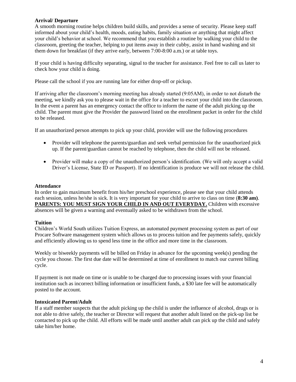#### **Arrival/ Departure**

A smooth morning routine helps children build skills, and provides a sense of security. Please keep staff informed about your child's health, moods, eating habits, family situation or anything that might affect your child's behavior at school. We recommend that you establish a routine by walking your child to the classroom, greeting the teacher, helping to put items away in their cubby, assist in hand washing and sit them down for breakfast (if they arrive early, between 7:00-8:00 a.m.) or at table toys.

If your child is having difficulty separating, signal to the teacher for assistance. Feel free to call us later to check how your child is doing.

Please call the school if you are running late for either drop-off or pickup.

If arriving after the classroom's morning meeting has already started (9:05AM), in order to not disturb the meeting, we kindly ask you to please wait in the office for a teacher to escort your child into the classroom. In the event a parent has an emergency contact the office to inform the name of the adult picking up the child. The parent must give the Provider the password listed on the enrollment packet in order for the child to be released.

If an unauthorized person attempts to pick up your child, provider will use the following procedures

- Provider will telephone the parents/guardian and seek verbal permission for the unauthorized pick up. If the parent/guardian cannot be reached by telephone, then the child will not be released.
- Provider will make a copy of the unauthorized person's identification. (We will only accept a valid Driver's License, State ID or Passport). If no identification is produce we will not release the child.

#### **Attendance**

In order to gain maximum benefit from his/her preschool experience, please see that your child attends each session, unless he/she is sick. It is very important for your child to arrive to class on time (**8:30 am)**. PARENTS: YOU MUST SIGN YOUR CHILD IN AND OUT EVERYDAY. Children with excessive absences will be given a warning and eventually asked to be withdrawn from the school.

#### **Tuition**

Children's World South utilizes Tuition Express, an automated payment processing system as part of our Procare Software management system which allows us to process tuition and fee payments safely, quickly and efficiently allowing us to spend less time in the office and more time in the classroom.

Weekly or biweekly payments will be billed on Friday in advance for the upcoming week(s) pending the cycle you choose. The first due date will be determined at time of enrollment to match our current billing cycle.

If payment is not made on time or is unable to be charged due to processing issues with your financial institution such as incorrect billing information or insufficient funds, a \$30 late fee will be automatically posted to the account.

#### **Intoxicated Parent/Adult**

If a staff member suspects that the adult picking up the child is under the influence of alcohol, drugs or is not able to drive safely, the teacher or Director will request that another adult listed on the pick-up list be contacted to pick up the child. All efforts will be made until another adult can pick up the child and safely take him/her home.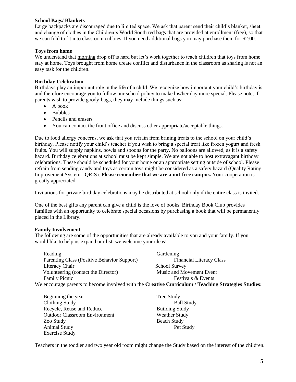#### **School Bags/ Blankets**

Large backpacks are discouraged due to limited space. We ask that parent send their child's blanket, sheet and change of clothes in the Children's World South red bags that are provided at enrollment (free), so that we can fold to fit into classroom cubbies. If you need additional bags you may purchase them for \$2:00.

#### **Toys from home**

We understand that morning drop off is hard but let's work together to teach children that toys from home stay at home. Toys brought from home create conflict and disturbance in the classroom as sharing is not an easy task for the children.

#### **Birthday Celebration**

Birthdays play an important role in the life of a child. We recognize how important your child's birthday is and therefore encourage you to follow our school policy to make his/her day more special. Please note, if parents wish to provide goody-bags, they may include things such as:-

- A book
- Bubbles
- Pencils and erasers
- You can contact the front office and discuss other appropriate/acceptable things.

Due to food allergy concerns, we ask that you refrain from brining treats to the school on your child's birthday. Please notify your child's teacher if you wish to bring a special treat like frozen yogurt and fresh fruits. You will supply napkins, bowls and spoons for the party. No balloons are allowed, as it is a safety hazard. Birthday celebrations at school must be kept simple. We are not able to host extravagant birthday celebrations. These should be scheduled for your home or an appropriate setting outside of school. Please refrain from sending candy and toys as certain toys might be considered as a safety hazard (Quality Rating Improvement System - QRIS). **Please remember that we are a nut-free campus.** Your cooperation is greatly appreciated.

Invitations for private birthday celebrations may be distributed at school only if the entire class is invited.

One of the best gifts any parent can give a child is the love of books. Birthday Book Club provides families with an opportunity to celebrate special occasions by purchasing a book that will be permanently placed in the Library.

#### **Family Involvement**

The following are some of the opportunities that are already available to you and your family. If you would like to help us expand our list, we welcome your ideas!

| Reading                                                                                             | Gardening                       |  |
|-----------------------------------------------------------------------------------------------------|---------------------------------|--|
| Parenting Class (Positive Behavior Support)                                                         | <b>Financial Literacy Class</b> |  |
| Literacy Chair                                                                                      | <b>School Survey</b>            |  |
| Volunteering (contact the Director)                                                                 | Music and Movement Event        |  |
| <b>Family Picnic</b>                                                                                | Festivals & Events              |  |
| We encourage parents to become involved with the Creative Curriculum / Teaching Strategies Studies: |                                 |  |

| Beginning the year                   | <b>Tree Study</b>     |
|--------------------------------------|-----------------------|
| Clothing Study                       | <b>Ball Study</b>     |
| Recycle, Reuse and Reduce            | <b>Building Study</b> |
| <b>Outdoor Classroom Environment</b> | <b>Weather Study</b>  |
| Zoo Study                            | <b>Beach Study</b>    |
| <b>Animal Study</b>                  | Pet Study             |
| <b>Exercise Study</b>                |                       |

Teachers in the toddler and two year old room might change the Study based on the interest of the children.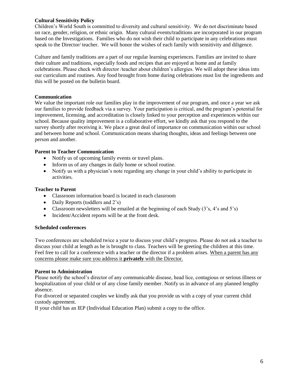#### **Cultural Sensitivity Policy**

Children's World South is committed to diversity and cultural sensitivity. We do not discriminate based on race, gender, religion, or ethnic origin. Many cultural events/traditions are incorporated in our program based on the Investigations. Families who do not wish their child to participate in any celebrations must speak to the Director/ teacher. We will honor the wishes of each family with sensitivity and diligence.

Culture and family traditions are a part of our regular learning experiences. Families are invited to share their culture and traditions, especially foods and recipes that are enjoyed at home and at family celebrations. Please check with director /teacher about children's allergies. We will adopt these ideas into our curriculum and routines. Any food brought from home during celebrations must list the ingredients and this will be posted on the bulletin board.

#### **Communication**

We value the important role our families play in the improvement of our program, and once a year we ask our families to provide feedback via a survey. Your participation is critical, and the program's potential for improvement, licensing, and accreditation is closely linked to your perception and experiences within our school. Because quality improvement is a collaborative effort, we kindly ask that you respond to the survey shortly after receiving it. We place a great deal of importance on communication within our school and between home and school. Communication means sharing thoughts, ideas and feelings between one person and another.

#### **Parent to Teacher Communication**

- Notify us of upcoming family events or travel plans.
- Inform us of any changes in daily home or school routine.
- Notify us with a physician's note regarding any change in your child's ability to participate in activities.

#### **Teacher to Parent**

- Classroom information board is located in each classroom
- Daily Reports (toddlers and 2's)
- Classroom newsletters will be emailed at the beginning of each Study  $(3's, 4's, and 5's)$
- Incident/Accident reports will be at the front desk.

#### **Scheduled conferences**

Two conferences are scheduled twice a year to discuss your child's progress. Please do not ask a teacher to discuss your child at length as he is brought to class. Teachers will be greeting the children at this time. Feel free to call for a conference with a teacher or the director if a problem arises. When a parent has any concerns please make sure you address it **privately** with the Director.

#### **Parent to Administration**

Please notify the school's director of any communicable disease, head lice, contagious or serious illness or hospitalization of your child or of any close family member. Notify us in advance of any planned lengthy absence.

For divorced or separated couples we kindly ask that you provide us with a copy of your current child custody agreement.

If your child has an IEP (Individual Education Plan) submit a copy to the office.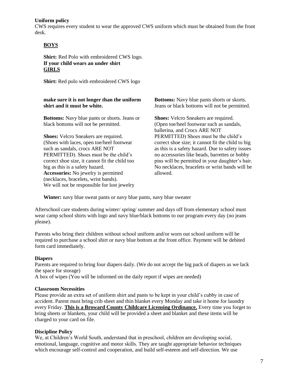#### **Uniform policy**

CWS requires every student to wear the approved CWS uniform which must be obtained from the front desk.

#### **BOYS**

**Shirt:** Red Polo with embroidered CWS logo. **If your child wears an under shirt GIRLS**

**Shirt:** Red polo with embroidered CWS logo

#### **make sure it is not longer than the uniform shirt and it must be white.**

**Bottoms:** Navy blue pants or shorts. Jeans or black bottoms will not be permitted.

**Shoes:** Velcro Sneakers are required. (Shoes with laces, open toe/heel footwear such as sandals, crocs ARE NOT PERMITTED). Shoes must be the child's correct shoe size, it cannot fit the child too big as this is a safety hazard. **Accessories:** No jewelry is permitted (necklaces, bracelets, wrist bands). We will not be responsible for lost jewelry **Bottoms:** Navy blue pants shorts or skorts. Jeans or black bottoms will not be permitted.

**Shoes:** Velcro Sneakers are required. (Open toe/heel footwear such as sandals, ballerina, and Crocs ARE NOT PERMITTED) Shoes must be the child's correct shoe size; it cannot fit the child to big as this is a safety hazard. Due to safety issues no accessories like beads, barrettes or bobby pins will be permitted in your daughter's hair. No necklaces, bracelets or wrist bands will be allowed.

**Winter:** navy blue sweat pants or navy blue pants, navy blue sweater

Afterschool care students during winter/ spring/ summer and days off from elementary school must wear camp school shirts with logo and navy blue/black bottoms to our program every day (no jeans please).

Parents who bring their children without school uniform and/or worn out school uniform will be required to purchase a school shirt or navy blue bottom at the front office. Payment will be debited form card immediately.

#### **Diapers**

Parents are required to bring four diapers daily. (We do not accept the big pack of diapers as we lack the space for storage)

A box of wipes (You will be informed on the daily report if wipes are needed)

#### **Classroom Necessities**

Please provide an extra set of uniform shirt and pants to be kept in your child's cubby in case of accident. Parent must bring crib sheet and thin blanket every Monday and take it home for laundry every Friday. **This is a Broward County Childcare Licensing Ordinance.** Every time you forget to bring sheets or blankets, your child will be provided a sheet and blanket and these items will be charged to your card on file.

#### **Discipline Policy**

We, at Children's World South, understand that in preschool, children are developing social, emotional, language, cognitive and motor skills. They are taught appropriate behavior techniques which encourage self-control and cooperation, and build self-esteem and self-direction. We use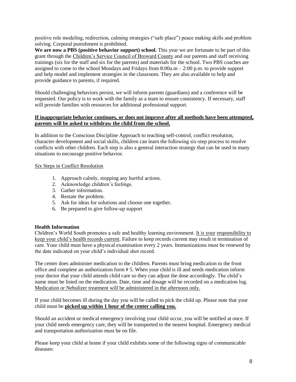positive role modeling, redirection, calming strategies ("safe place") peace making skills and problem solving. Corporal punishment is prohibited.

**We are now a PBS (positive behavior support) school.** This year we are fortunate to be part of this grant through the Children's Service Council of Broward County and our parents and staff receiving trainings (six for the staff and six for the parents) and materials for the school. Two PBS coaches are assigned to come to the school Mondays and Fridays from 8:00a.m – 2:00 p.m. to provide support and help model and implement strategies in the classroom. They are also available to help and provide guidance to parents, if required.

Should challenging behaviors persist, we will inform parents (guardians) and a conference will be requested. Our policy is to work with the family as a team to ensure consistency. If necessary, staff will provide families with resources for additional professional support.

#### **If inappropriate behavior continues, or does not improve after all methods have been attempted, parents will be asked to withdraw the child from the school.**

In addition to the Conscious Discipline Approach to teaching self-control, conflict resolution, character development and social skills, children can learn the following six-step process to resolve conflicts with other children. Each step is also a general interaction strategy that can be used in many situations to encourage positive behavior.

Six Steps in Conflict Resolution

- 1. Approach calmly, stopping any hurtful actions.
- 2. Acknowledge children's feelings.
- 3. Gather information.
- 4. Restate the problem.
- 5. Ask for ideas for solutions and choose one together.
- 6. Be prepared to give follow-up support

#### **Health Information**

Children's World South promotes a safe and healthy learning environment. It is your responsibility to keep your child's health records current. Failure to keep records current may result in termination of care. Your child must have a physical examination every 2 years. Immunizations must be renewed by the date indicated on your child's individual shot record.

The center does administer medication to the children. Parents must bring medication to the front office and complete an authorization form # 5. When your child is ill and needs medication inform your doctor that your child attends child care so they can adjust the dose accordingly. The child's name must be listed on the medication. Date, time and dosage will be recorded on a medication log. Medication or Nebulizer treatment will be administered in the afternoon only.

If your child becomes ill during the day you will be called to pick the child up. Please note that your child must be **picked up within 1 hour of the center calling you.** 

Should an accident or medical emergency involving your child occur, you will be notified at once. If your child needs emergency care, they will be transported to the nearest hospital. Emergency medical and transportation authorization must be on file.

Please keep your child at home if your child exhibits some of the following signs of communicable diseases: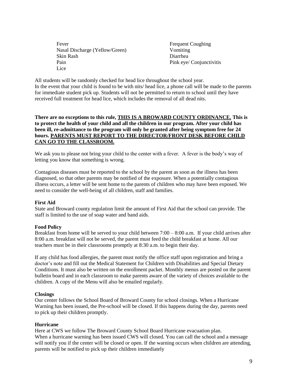Fever Nasal Discharge (Yellow/Green) Skin Rash Pain Lice

Frequent Coughing Vomiting Diarrhea Pink eye/ Conjunctivitis

All students will be randomly checked for head lice throughout the school year. In the event that your child is found to be with nits/ head lice, a phone call will be made to the parents for immediate student pick up. Students will not be permitted to return to school until they have received full treatment for head lice, which includes the removal of all dead nits.

#### **There are no exceptions to this rule, THIS IS A BROWARD COUNTY ORDINANCE. This is to protect the health of your child and all the children in our program. After your child has been ill, re-admittance to the program will only be granted after being symptom free for 24 hours. PARENTS MUST REPORT TO THE DIRECTOR/FRONT DESK BEFORE CHILD CAN GO TO THE CLASSROOM.**

We ask you to please not bring your child to the center with a fever. A fever is the body's way of letting you know that something is wrong.

Contagious diseases must be reported to the school by the parent as soon as the illness has been diagnosed, so that other parents may be notified of the exposure. When a potentially contagious illness occurs, a letter will be sent home to the parents of children who may have been exposed. We need to consider the well-being of all children, staff and families.

#### **First Aid**

State and Broward county regulation limit the amount of First Aid that the school can provide. The staff is limited to the use of soap water and band aids.

#### **Food Policy**

Breakfast from home will be served to your child between 7:00 – 8:00 a.m. If your child arrives after 8:00 a.m. breakfast will not be served, the parent must feed the child breakfast at home. All our teachers must be in their classrooms promptly at 8:30 a.m. to begin their day.

If any child has food allergies, the parent must notify the office staff upon registration and bring a doctor's note and fill out the Medical Statement for Children with Disabilities and Special Dietary Conditions. It must also be written on the enrollment packet. Monthly menus are posted on the parent bulletin board and in each classroom to make parents aware of the variety of choices available to the children. A copy of the Menu will also be emailed regularly.

#### **Closings**

Our center follows the School Board of Broward County for school closings. When a Hurricane Warning has been issued, the Pre-school will be closed. If this happens during the day, parents need to pick up their children promptly.

#### **Hurricane**

Here at CWS we follow The Broward County School Board Hurricane evacuation plan. When a hurricane warning has been issued CWS will closed. You can call the school and a message will notify you if the center will be closed or open. If the warning occurs when children are attending, parents will be notified to pick up their children immediately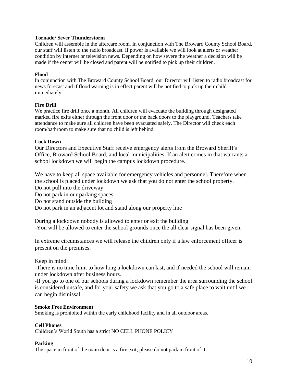#### **Tornado/ Sever Thunderstorm**

Children will assemble in the aftercare room. In conjunction with The Broward County School Board, our staff will listen to the radio broadcast. If power is available we will look at alerts or weather condition by internet or television news. Depending on how severe the weather a decision will be made if the center will be closed and parent will be notified to pick up their children.

#### **Flood**

In conjunction with The Broward County School Board, our Director will listen to radio broadcast for news forecast and if flood warning is in effect parent will be notified to pick up their child immediately.

#### **Fire Drill**

We practice fire drill once a month. All children will evacuate the building through designated marked fire exits either through the front door or the back doors to the playground. Teachers take attendance to make sure all children have been evacuated safely. The Director will check each room/bathroom to make sure that no child is left behind.

#### **Lock Down**

Our Directors and Executive Staff receive emergency alerts from the Broward Sheriff's Office, Broward School Board, and local municipalities. If an alert comes in that warrants a school lockdown we will begin the campus lockdown procedure.

We have to keep all space available for emergency vehicles and personnel. Therefore when the school is placed under lockdown we ask that you do not enter the school property. Do not pull into the driveway

Do not park in our parking spaces

Do not stand outside the building

Do not park in an adjacent lot and stand along our property line

During a lockdown nobody is allowed to enter or exit the building -You will be allowed to enter the school grounds once the all clear signal has been given.

In extreme circumstances we will release the children only if a law enforcement officer is present on the premises.

Keep in mind:

-There is no time limit to how long a lockdown can last, and if needed the school will remain under lockdown after business hours.

-If you go to one of our schools during a lockdown remember the area surrounding the school is considered unsafe, and for your safety we ask that you go to a safe place to wait until we can begin dismissal.

#### **Smoke Free Environment**

Smoking is prohibited within the early childhood facility and in all outdoor areas.

#### **Cell Phones**

Children's World South has a strict NO CELL PHONE POLICY

#### **Parking**

The space in front of the main door is a fire exit; please do not park in front of it.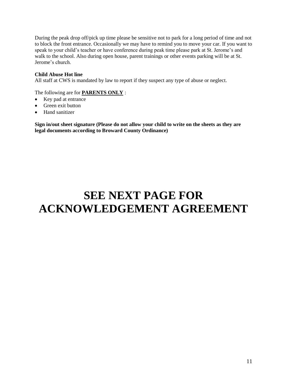During the peak drop off/pick up time please be sensitive not to park for a long period of time and not to block the front entrance. Occasionally we may have to remind you to move your car. If you want to speak to your child's teacher or have conference during peak time please park at St. Jerome's and walk to the school. Also during open house, parent trainings or other events parking will be at St. Jerome's church.

#### **Child Abuse Hot line**

All staff at CWS is mandated by law to report if they suspect any type of abuse or neglect.

The following are for **PARENTS ONLY** :

- Key pad at entrance
- Green exit button
- Hand sanitizer

**Sign in/out sheet signature (Please do not allow your child to write on the sheets as they are legal documents according to Broward County Ordinance)**

## **SEE NEXT PAGE FOR ACKNOWLEDGEMENT AGREEMENT**